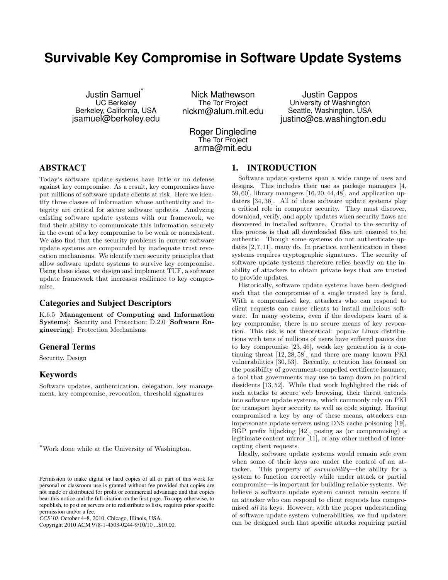# **Survivable Key Compromise in Software Update Systems**

Justin Samuel *∗* UC Berkeley Berkeley, California, USA jsamuel@berkeley.edu

Nick Mathewson The Tor Project nickm@alum.mit.edu

Roger Dingledine The Tor Project arma@mit.edu

Justin Cappos University of Washington Seattle, Washington, USA justinc@cs.washington.edu

# ABSTRACT

Today's software update systems have little or no defense against key compromise. As a result, key compromises have put millions of software update clients at risk. Here we identify three classes of information whose authenticity and integrity are critical for secure software updates. Analyzing existing software update systems with our framework, we find their ability to communicate this information securely in the event of a key compromise to be weak or nonexistent. We also find that the security problems in current software update systems are compounded by inadequate trust revocation mechanisms. We identify core security principles that allow software update systems to survive key compromise. Using these ideas, we design and implement TUF, a software update framework that increases resilience to key compromise.

#### Categories and Subject Descriptors

K.6.5 [**Management of Computing and Information Systems**]: Security and Protection; D.2.0 [**Software Engineering**]: Protection Mechanisms

# General Terms

Security, Design

## Keywords

Software updates, authentication, delegation, key management, key compromise, revocation, threshold signatures

Copyright 2010 ACM 978-1-4503-0244-9/10/10 ...\$10.00.

# 1. INTRODUCTION

Software update systems span a wide range of uses and designs. This includes their use as package managers [4, 59, 60], library managers [16, 20, 44, 48], and application updaters [34, 36]. All of these software update systems play a critical role in computer security. They must discover, download, verify, and apply updates when security flaws are discovered in installed software. Crucial to the security of this process is that all downloaded files are ensured to be authentic. Though some systems do not authenticate updates [2,7,11], many do. In practice, authentication in these systems requires cryptographic signatures. The security of software update systems therefore relies heavily on the inability of attackers to obtain private keys that are trusted to provide updates.

Historically, software update systems have been designed such that the compromise of a single trusted key is fatal. With a compromised key, attackers who can respond to client requests can cause clients to install malicious software. In many systems, even if the developers learn of a key compromise, there is no secure means of key revocation. This risk is not theoretical: popular Linux distributions with tens of millions of users have suffered panics due to key compromise [23, 46], weak key generation is a continuing threat [12, 28, 58], and there are many known PKI vulnerabilities [30, 53]. Recently, attention has focused on the possibility of government-compelled certificate issuance, a tool that governments may use to tamp down on political dissidents [13, 52]. While that work highlighted the risk of such attacks to secure web browsing, their threat extends into software update systems, which commonly rely on PKI for transport layer security as well as code signing. Having compromised a key by any of these means, attackers can impersonate update servers using DNS cache poisoning [19], BGP prefix hijacking [42], posing as (or compromising) a legitimate content mirror [11], or any other method of intercepting client requests.

Ideally, software update systems would remain safe even when some of their keys are under the control of an attacker. This property of *survivability*—the ability for a system to function correctly while under attack or partial compromise—is important for building reliable systems. We believe a software update system cannot remain secure if an attacker who can respond to client requests has compromised *all* its keys. However, with the proper understanding of software update system vulnerabilities, we find updaters can be designed such that specific attacks requiring partial

*<sup>∗</sup>*Work done while at the University of Washington.

Permission to make digital or hard copies of all or part of this work for personal or classroom use is granted without fee provided that copies are not made or distributed for profit or commercial advantage and that copies bear this notice and the full citation on the first page. To copy otherwise, to republish, to post on servers or to redistribute to lists, requires prior specific permission and/or a fee.

*CCS'10,* October 4–8, 2010, Chicago, Illinois, USA.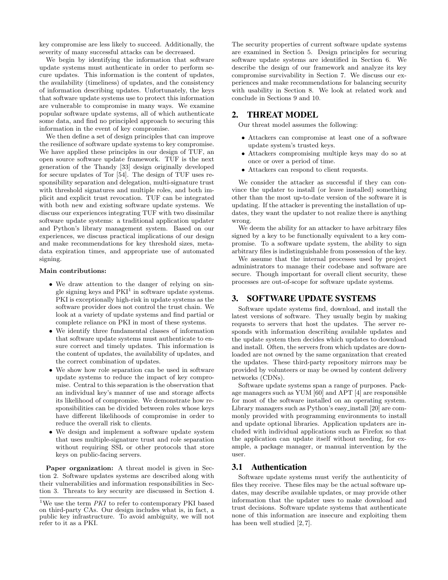key compromise are less likely to succeed. Additionally, the severity of many successful attacks can be decreased.

We begin by identifying the information that software update systems must authenticate in order to perform secure updates. This information is the content of updates, the availability (timeliness) of updates, and the consistency of information describing updates. Unfortunately, the keys that software update systems use to protect this information are vulnerable to compromise in many ways. We examine popular software update systems, all of which authenticate some data, and find no principled approach to securing this information in the event of key compromise.

We then define a set of design principles that can improve the resilience of software update systems to key compromise. We have applied these principles in our design of TUF, an open source software update framework. TUF is the next generation of the Thandy [33] design originally developed for secure updates of Tor [54]. The design of TUF uses responsibility separation and delegation, multi-signature trust with threshold signatures and multiple roles, and both implicit and explicit trust revocation. TUF can be integrated with both new and existing software update systems. We discuss our experiences integrating TUF with two dissimilar software update systems: a traditional application updater and Python's library management system. Based on our experiences, we discuss practical implications of our design and make recommendations for key threshold sizes, metadata expiration times, and appropriate use of automated signing.

#### **Main contributions:**

- We draw attention to the danger of relying on single signing keys and  $PKI<sup>1</sup>$  in software update systems. PKI is exceptionally high-risk in update systems as the software provider does not control the trust chain. We look at a variety of update systems and find partial or complete reliance on PKI in most of these systems.
- *•* We identify three fundamental classes of information that software update systems must authenticate to ensure correct and timely updates. This information is the content of updates, the availability of updates, and the correct combination of updates.
- *•* We show how role separation can be used in software update systems to reduce the impact of key compromise. Central to this separation is the observation that an individual key's manner of use and storage affects its likelihood of compromise. We demonstrate how responsibilities can be divided between roles whose keys have different likelihoods of compromise in order to reduce the overall risk to clients.
- *•* We design and implement a software update system that uses multiple-signature trust and role separation without requiring SSL or other protocols that store keys on public-facing servers.

**Paper organization:** A threat model is given in Section 2. Software updates systems are described along with their vulnerabilities and information responsibilities in Section 3. Threats to key security are discussed in Section 4. The security properties of current software update systems are examined in Section 5. Design principles for securing software update systems are identified in Section 6. We describe the design of our framework and analyze its key compromise survivability in Section 7. We discuss our experiences and make recommendations for balancing security with usability in Section 8. We look at related work and conclude in Sections 9 and 10.

## 2. THREAT MODEL

Our threat model assumes the following:

- *•* Attackers can compromise at least one of a software update system's trusted keys.
- *•* Attackers compromising multiple keys may do so at once or over a period of time.
- *•* Attackers can respond to client requests.

We consider the attacker as successful if they can convince the updater to install (or leave installed) something other than the most up-to-date version of the software it is updating. If the attacker is preventing the installation of updates, they want the updater to not realize there is anything wrong.

We deem the ability for an attacker to have arbitrary files signed by a key to be functionally equivalent to a key compromise. To a software update system, the ability to sign arbitrary files is indistinguishable from possession of the key.

We assume that the internal processes used by project administrators to manage their codebase and software are secure. Though important for overall client security, these processes are out-of-scope for software update systems.

#### 3. SOFTWARE UPDATE SYSTEMS

Software update systems find, download, and install the latest versions of software. They usually begin by making requests to servers that host the updates. The server responds with information describing available updates and the update system then decides which updates to download and install. Often, the servers from which updates are downloaded are not owned by the same organization that created the updates. These third-party repository mirrors may be provided by volunteers or may be owned by content delivery networks (CDNs).

Software update systems span a range of purposes. Package managers such as YUM [60] and APT [4] are responsible for most of the software installed on an operating system. Library managers such as Python's easy install [20] are commonly provided with programming environments to install and update optional libraries. Application updaters are included with individual applications such as Firefox so that the application can update itself without needing, for example, a package manager, or manual intervention by the user.

## 3.1 Authentication

Software update systems must verify the authenticity of files they receive. These files may be the actual software updates, may describe available updates, or may provide other information that the updater uses to make download and trust decisions. Software update systems that authenticate none of this information are insecure and exploiting them has been well studied [2, 7].

 $^{1}\mathrm{We}$  use the term  $PKI$  to refer to contemporary PKI based on third-party CAs. Our design includes what is, in fact, a public key infrastructure. To avoid ambiguity, we will not refer to it as a PKI.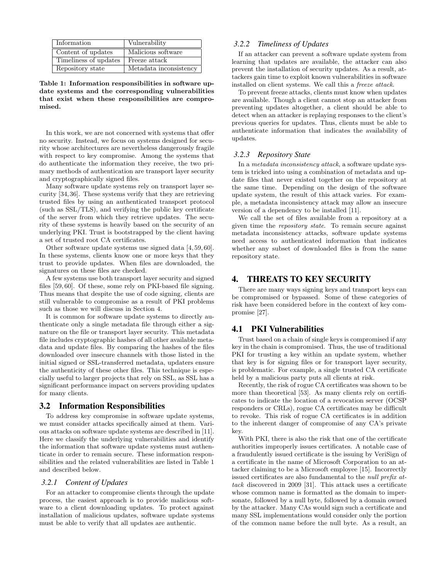| Information           | Vulnerability          |
|-----------------------|------------------------|
| Content of updates    | Malicious software     |
| Timeliness of updates | Freeze attack          |
| Repository state      | Metadata inconsistency |

**Table 1: Information responsibilities in software update systems and the corresponding vulnerabilities that exist when these responsibilities are compromised.**

In this work, we are not concerned with systems that offer no security. Instead, we focus on systems designed for security whose architectures are nevertheless dangerously fragile with respect to key compromise. Among the systems that do authenticate the information they receive, the two primary methods of authentication are transport layer security and cryptographically signed files.

Many software update systems rely on transport layer security [34,36]. These systems verify that they are retrieving trusted files by using an authenticated transport protocol (such as SSL/TLS), and verifying the public key certificate of the server from which they retrieve updates. The security of these systems is heavily based on the security of an underlying PKI. Trust is bootstrapped by the client having a set of trusted root CA certificates.

Other software update systems use signed data [4, 59, 60]. In these systems, clients know one or more keys that they trust to provide updates. When files are downloaded, the signatures on these files are checked.

A few systems use both transport layer security and signed files [59, 60]. Of these, some rely on PKI-based file signing. Thus means that despite the use of code signing, clients are still vulnerable to compromise as a result of PKI problems such as those we will discuss in Section 4.

It is common for software update systems to directly authenticate only a single metadata file through either a signature on the file or transport layer security. This metadata file includes cryptographic hashes of all other available metadata and update files. By comparing the hashes of the files downloaded over insecure channels with those listed in the initial signed or SSL-transferred metadata, updaters ensure the authenticity of these other files. This technique is especially useful to larger projects that rely on SSL, as SSL has a significant performance impact on servers providing updates for many clients.

#### 3.2 Information Responsibilities

To address key compromise in software update systems, we must consider attacks specifically aimed at them. Various attacks on software update systems are described in [11]. Here we classify the underlying vulnerabilities and identify the information that software update systems must authenticate in order to remain secure. These information responsibilities and the related vulnerabilities are listed in Table 1 and described below.

#### *3.2.1 Content of Updates*

For an attacker to compromise clients through the update process, the easiest approach is to provide malicious software to a client downloading updates. To protect against installation of malicious updates, software update systems must be able to verify that all updates are authentic.

#### *3.2.2 Timeliness of Updates*

If an attacker can prevent a software update system from learning that updates are available, the attacker can also prevent the installation of security updates. As a result, attackers gain time to exploit known vulnerabilities in software installed on client systems. We call this a *freeze attack*.

To prevent freeze attacks, clients must know when updates are available. Though a client cannot stop an attacker from preventing updates altogether, a client should be able to detect when an attacker is replaying responses to the client's previous queries for updates. Thus, clients must be able to authenticate information that indicates the availability of updates.

#### *3.2.3 Repository State*

In a *metadata inconsistency attack*, a software update system is tricked into using a combination of metadata and update files that never existed together on the repository at the same time. Depending on the design of the software update system, the result of this attack varies. For example, a metadata inconsistency attack may allow an insecure version of a dependency to be installed [11].

We call the set of files available from a repository at a given time the *repository state*. To remain secure against metadata inconsistency attacks, software update systems need access to authenticated information that indicates whether any subset of downloaded files is from the same repository state.

## 4. THREATS TO KEY SECURITY

There are many ways signing keys and transport keys can be compromised or bypassed. Some of these categories of risk have been considered before in the context of key compromise [27].

#### 4.1 PKI Vulnerabilities

Trust based on a chain of single keys is compromised if any key in the chain is compromised. Thus, the use of traditional PKI for trusting a key within an update system, whether that key is for signing files or for transport layer security, is problematic. For example, a single trusted CA certificate held by a malicious party puts all clients at risk.

Recently, the risk of rogue CA certificates was shown to be more than theoretical [53]. As many clients rely on certificates to indicate the location of a revocation server (OCSP responders or CRLs), rogue CA certificates may be difficult to revoke. This risk of rogue CA certificates is in addition to the inherent danger of compromise of any CA's private key.

With PKI, there is also the risk that one of the certificate authorities improperly issues certificates. A notable case of a fraudulently issued certificate is the issuing by VeriSign of a certificate in the name of Microsoft Corporation to an attacker claiming to be a Microsoft employee [15]. Incorrectly issued certificates are also fundamental to the *null prefix attack* discovered in 2009 [31]. This attack uses a certificate whose common name is formatted as the domain to impersonate, followed by a null byte, followed by a domain owned by the attacker. Many CAs would sign such a certificate and many SSL implementations would consider only the portion of the common name before the null byte. As a result, an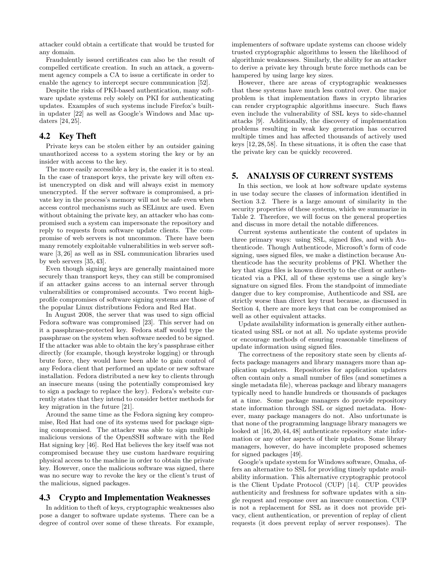attacker could obtain a certificate that would be trusted for any domain.

Fraudulently issued certificates can also be the result of compelled certificate creation. In such an attack, a government agency compels a CA to issue a certificate in order to enable the agency to intercept secure communication [52].

Despite the risks of PKI-based authentication, many software update systems rely solely on PKI for authenticating updates. Examples of such systems include Firefox's builtin updater [22] as well as Google's Windows and Mac updaters [24, 25].

#### 4.2 Key Theft

Private keys can be stolen either by an outsider gaining unauthorized access to a system storing the key or by an insider with access to the key.

The more easily accessible a key is, the easier it is to steal. In the case of transport keys, the private key will often exist unencrypted on disk and will always exist in memory unencrypted. If the server software is compromised, a private key in the process's memory will not be safe even when access control mechanisms such as SELinux are used. Even without obtaining the private key, an attacker who has compromised such a system can impersonate the repository and reply to requests from software update clients. The compromise of web servers is not uncommon. There have been many remotely exploitable vulnerabilities in web server software [3, 26] as well as in SSL communication libraries used by web servers [35, 43].

Even though signing keys are generally maintained more securely than transport keys, they can still be compromised if an attacker gains access to an internal server through vulnerabilities or compromised accounts. Two recent highprofile compromises of software signing systems are those of the popular Linux distributions Fedora and Red Hat.

In August 2008, the server that was used to sign official Fedora software was compromised [23]. This server had on it a passphrase-protected key. Fedora staff would type the passphrase on the system when software needed to be signed. If the attacker was able to obtain the key's passphrase either directly (for example, though keystroke logging) or through brute force, they would have been able to gain control of any Fedora client that performed an update or new software installation. Fedora distributed a new key to clients through an insecure means (using the potentially compromised key to sign a package to replace the key). Fedora's website currently states that they intend to consider better methods for key migration in the future [21].

Around the same time as the Fedora signing key compromise, Red Hat had one of its systems used for package signing compromised. The attacker was able to sign multiple malicious versions of the OpenSSH software with the Red Hat signing key [46]. Red Hat believes the key itself was not compromised because they use custom hardware requiring physical access to the machine in order to obtain the private key. However, once the malicious software was signed, there was no secure way to revoke the key or the client's trust of the malicious, signed packages.

#### 4.3 Crypto and Implementation Weaknesses

In addition to theft of keys, cryptographic weaknesses also pose a danger to software update systems. There can be a degree of control over some of these threats. For example,

implementers of software update systems can choose widely trusted cryptographic algorithms to lessen the likelihood of algorithmic weaknesses. Similarly, the ability for an attacker to derive a private key through brute force methods can be hampered by using large key sizes.

However, there are areas of cryptographic weaknesses that these systems have much less control over. One major problem is that implementation flaws in crypto libraries can render cryptographic algorithms insecure. Such flaws even include the vulnerability of SSL keys to side-channel attacks [9]. Additionally, the discovery of implementation problems resulting in weak key generation has occurred multiple times and has affected thousands of actively used keys [12, 28, 58]. In these situations, it is often the case that the private key can be quickly recovered.

## 5. ANALYSIS OF CURRENT SYSTEMS

In this section, we look at how software update systems in use today secure the classes of information identified in Section 3.2. There is a large amount of similarity in the security properties of these systems, which we summarize in Table 2. Therefore, we will focus on the general properties and discuss in more detail the notable differences.

Current systems authenticate the content of updates in three primary ways: using SSL, signed files, and with Authenticode. Though Authenticode, Microsoft's form of code signing, uses signed files, we make a distinction because Authenticode has the security problems of PKI. Whether the key that signs files is known directly to the client or authenticated via a PKI, all of these systems use a single key's signature on signed files. From the standpoint of immediate danger due to key compromise, Authenticode and SSL are strictly worse than direct key trust because, as discussed in Section 4, there are more keys that can be compromised as well as other equivalent attacks.

Update availability information is generally either authenticated using SSL or not at all. No update systems provide or encourage methods of ensuring reasonable timeliness of update information using signed files.

The correctness of the repository state seen by clients affects package managers and library managers more than application updaters. Repositories for application updaters often contain only a small number of files (and sometimes a single metadata file), whereas package and library managers typically need to handle hundreds or thousands of packages at a time. Some package managers do provide repository state information through SSL or signed metadata. However, many package managers do not. Also unfortunate is that none of the programming language library managers we looked at  $[16, 20, 44, 48]$  authenticate repository state information or any other aspects of their updates. Some library managers, however, do have incomplete proposed schemes for signed packages [49].

Google's update system for Windows software, Omaha, offers an alternative to SSL for providing timely update availability information. This alternative cryptographic protocol is the Client Update Protocol (CUP) [14]. CUP provides authenticity and freshness for software updates with a single request and response over an insecure connection. CUP is not a replacement for SSL as it does not provide privacy, client authentication, or prevention of replay of client requests (it does prevent replay of server responses). The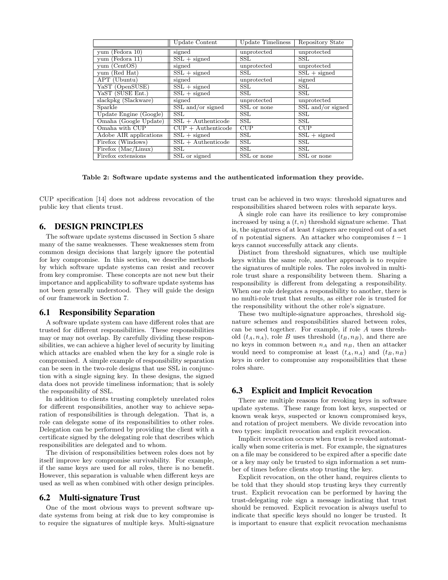|                                    | Update Content                          | Update Timeliness       | Repository State        |
|------------------------------------|-----------------------------------------|-------------------------|-------------------------|
| $yum$ (Fedora 10)                  | signed                                  | unprotected             | unprotected             |
| yum (Fedora 11)                    | $SSL + signed$                          | $\operatorname{SSL}$    | SSL                     |
| yum (CentOS)                       | signed                                  | unprotected             | unprotected             |
| yum (Red Hat)                      | $SSL + signed$                          | $\overline{\text{SSL}}$ | $SSL + signed$          |
| $\overline{\text{APT (Ubuntu)}}$   | signed                                  | unprotected             | signed                  |
| YaST (OpenSUSE)                    | $\overline{\text{SSL} + \text{signed}}$ | <b>SSL</b>              | <b>SSL</b>              |
| YaST (SUSE Ent.)                   | $SSL + signed$                          | $\operatorname{SSL}$    | <b>SSL</b>              |
| slackpkg (Slackware)               | signed                                  | unprotected             | unprotected             |
| Sparkle                            | SSL and/or signed                       | SSL or none             | $SSL$ and/or signed     |
| Update Engine (Google)             | $\overline{\text{SSL}}$                 | SSL                     | $\overline{\text{SSL}}$ |
| Omaha (Google Update)              | $SSL + \text{Authentication}$           | <b>SSL</b>              | <b>SSL</b>              |
| Omaha with CUP                     | $CUP + \text{Authentication}$           | CUP                     | CUP                     |
| Adobe AIR applications             | $SSL + signed$                          | $\overline{\text{SSL}}$ | $SSL + signed$          |
| $Firefox$ ( $\overline{Windows}$ ) | $SSL + \text{Authentication}$           | $\overline{\text{SSL}}$ | $\overline{\text{SSL}}$ |
| Firefox (Mac/Linux)                | <b>SSL</b>                              | <b>SSL</b>              | <b>SSL</b>              |
| Firefox extensions                 | SSL or signed                           | SSL or none             | SSL or none             |

**Table 2: Software update systems and the authenticated information they provide.**

CUP specification [14] does not address revocation of the public key that clients trust.

# 6. DESIGN PRINCIPLES

The software update systems discussed in Section 5 share many of the same weaknesses. These weaknesses stem from common design decisions that largely ignore the potential for key compromise. In this section, we describe methods by which software update systems can resist and recover from key compromise. These concepts are not new but their importance and applicability to software update systems has not been generally understood. They will guide the design of our framework in Section 7.

#### 6.1 Responsibility Separation

A software update system can have different roles that are trusted for different responsibilities. These responsibilities may or may not overlap. By carefully dividing these responsibilities, we can achieve a higher level of security by limiting which attacks are enabled when the key for a single role is compromised. A simple example of responsibility separation can be seen in the two-role designs that use SSL in conjunction with a single signing key. In these designs, the signed data does not provide timeliness information; that is solely the responsibility of SSL.

In addition to clients trusting completely unrelated roles for different responsibilities, another way to achieve separation of responsibilities is through delegation. That is, a role can delegate some of its responsibilities to other roles. Delegation can be performed by providing the client with a certificate signed by the delegating role that describes which responsibilities are delegated and to whom.

The division of responsibilities between roles does not by itself improve key compromise survivability. For example, if the same keys are used for all roles, there is no benefit. However, this separation is valuable when different keys are used as well as when combined with other design principles.

#### 6.2 Multi-signature Trust

One of the most obvious ways to prevent software update systems from being at risk due to key compromise is to require the signatures of multiple keys. Multi-signature trust can be achieved in two ways: threshold signatures and responsibilities shared between roles with separate keys.

A single role can have its resilience to key compromise increased by using a  $(t, n)$  threshold signature scheme. That is, the signatures of at least *t* signers are required out of a set of *n* potential signers. An attacker who compromises *t −* 1 keys cannot successfully attack any clients.

Distinct from threshold signatures, which use multiple keys within the same role, another approach is to require the signatures of multiple roles. The roles involved in multirole trust share a responsibility between them. Sharing a responsibility is different from delegating a responsibility. When one role delegates a responsibility to another, there is no multi-role trust that results, as either role is trusted for the responsibility without the other role's signature.

These two multiple-signature approaches, threshold signature schemes and responsibilities shared between roles, can be used together. For example, if role *A* uses threshold  $(t_A, n_A)$ , role *B* uses threshold  $(t_B, n_B)$ , and there are no keys in common between *n<sup>A</sup>* and *nB*, then an attacker would need to compromise at least  $(t_A, n_A)$  and  $(t_B, n_B)$ keys in order to compromise any responsibilities that these roles share.

## 6.3 Explicit and Implicit Revocation

There are multiple reasons for revoking keys in software update systems. These range from lost keys, suspected or known weak keys, suspected or known compromised keys, and rotation of project members. We divide revocation into two types: implicit revocation and explicit revocation.

Implicit revocation occurs when trust is revoked automatically when some criteria is met. For example, the signatures on a file may be considered to be expired after a specific date or a key may only be trusted to sign information a set number of times before clients stop trusting the key.

Explicit revocation, on the other hand, requires clients to be told that they should stop trusting keys they currently trust. Explicit revocation can be performed by having the trust-delegating role sign a message indicating that trust should be removed. Explicit revocation is always useful to indicate that specific keys should no longer be trusted. It is important to ensure that explicit revocation mechanisms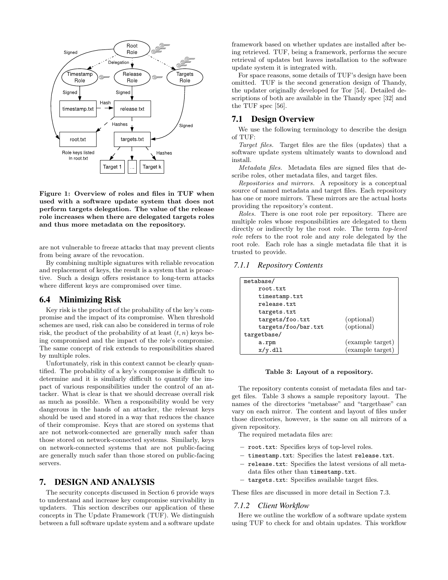

**Figure 1: Overview of roles and files in TUF when used with a software update system that does not perform targets delegation. The value of the release role increases when there are delegated targets roles and thus more metadata on the repository.**

are not vulnerable to freeze attacks that may prevent clients from being aware of the revocation.

By combining multiple signatures with reliable revocation and replacement of keys, the result is a system that is proactive. Such a design offers resistance to long-term attacks where different keys are compromised over time.

#### 6.4 Minimizing Risk

Key risk is the product of the probability of the key's compromise and the impact of its compromise. When threshold schemes are used, risk can also be considered in terms of role risk, the product of the probability of at least  $(t, n)$  keys being compromised and the impact of the role's compromise. The same concept of risk extends to responsibilities shared by multiple roles.

Unfortunately, risk in this context cannot be clearly quantified. The probability of a key's compromise is difficult to determine and it is similarly difficult to quantify the impact of various responsibilities under the control of an attacker. What is clear is that we should decrease overall risk as much as possible. When a responsibility would be very dangerous in the hands of an attacker, the relevant keys should be used and stored in a way that reduces the chance of their compromise. Keys that are stored on systems that are not network-connected are generally much safer than those stored on network-connected systems. Similarly, keys on network-connected systems that are not public-facing are generally much safer than those stored on public-facing servers.

#### 7. DESIGN AND ANALYSIS

The security concepts discussed in Section 6 provide ways to understand and increase key compromise survivability in updaters. This section describes our application of these concepts in The Update Framework (TUF). We distinguish between a full software update system and a software update

framework based on whether updates are installed after being retrieved. TUF, being a framework, performs the secure retrieval of updates but leaves installation to the software update system it is integrated with.

For space reasons, some details of TUF's design have been omitted. TUF is the second generation design of Thandy, the updater originally developed for Tor [54]. Detailed descriptions of both are available in the Thandy spec [32] and the TUF spec [56].

#### 7.1 Design Overview

We use the following terminology to describe the design of TUF:

*Target files.* Target files are the files (updates) that a software update system ultimately wants to download and install.

*Metadata files.* Metadata files are signed files that describe roles, other metadata files, and target files.

*Repositories and mirrors.* A repository is a conceptual source of named metadata and target files. Each repository has one or more mirrors. These mirrors are the actual hosts providing the repository's content.

*Roles.* There is one root role per repository. There are multiple roles whose responsibilities are delegated to them directly or indirectly by the root role. The term *top-level role* refers to the root role and any role delegated by the root role. Each role has a single metadata file that it is trusted to provide.

## *7.1.1 Repository Contents*

| metabase/           |                  |
|---------------------|------------------|
| root.txt            |                  |
| timestamp.txt       |                  |
| release.txt         |                  |
| targets.txt         |                  |
| targets/foo.txt     | (optional)       |
| targets/foo/bar.txt | (optional)       |
| targetbase/         |                  |
| a.rpm               | (example target) |
| $x/y$ .dll          | (example target) |

#### **Table 3: Layout of a repository.**

The repository contents consist of metadata files and target files. Table 3 shows a sample repository layout. The names of the directories "metabase" and "targetbase" can vary on each mirror. The content and layout of files under those directories, however, is the same on all mirrors of a given repository.

The required metadata files are:

- *−* root.txt: Specifies keys of top-level roles.
- *−* timestamp.txt: Specifies the latest release.txt.
- *−* release.txt: Specifies the latest versions of all metadata files other than timestamp.txt.
- *−* targets.txt: Specifies available target files.

These files are discussed in more detail in Section 7.3.

#### *7.1.2 Client Workflow*

Here we outline the workflow of a software update system using TUF to check for and obtain updates. This workflow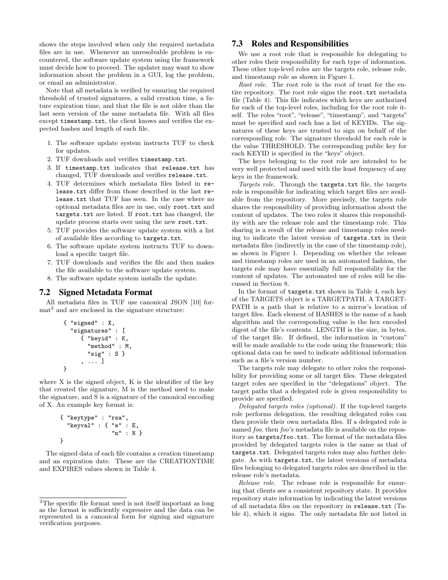shows the steps involved when only the required metadata files are in use. Whenever an unresolvable problem is encountered, the software update system using the framework must decide how to proceed. The updater may want to show information about the problem in a GUI, log the problem, or email an administrator.

Note that all metadata is verified by ensuring the required threshold of trusted signatures, a valid creation time, a future expiration time, and that the file is not older than the last seen version of the same metadata file. With all files except timestamp.txt, the client knows and verifies the expected hashes and length of each file.

- 1. The software update system instructs TUF to check for updates.
- 2. TUF downloads and verifies timestamp.txt.
- 3. If timestamp.txt indicates that release.txt has changed, TUF downloads and verifies release.txt.
- 4. TUF determines which metadata files listed in release.txt differ from those described in the last release.txt that TUF has seen. In the case where no optional metadata files are in use, only root.txt and targets.txt are listed. If root.txt has changed, the update process starts over using the new root.txt.
- 5. TUF provides the software update system with a list of available files according to targets.txt.
- 6. The software update system instructs TUF to download a specific target file.
- 7. TUF downloads and verifies the file and then makes the file available to the software update system.
- 8. The software update system installs the update.

#### 7.2 Signed Metadata Format

All metadata files in TUF use canonical JSON [10] format<sup>2</sup> and are enclosed in the signature structure:

{ "signed" : X, "signatures" : [ { "keyid" : K, "method" : M, "sig" : S } , ... ] }

where X is the signed object, K is the identifier of the key that created the signature, M is the method used to make the signature, and S is a signature of the canonical encoding of X. An example key format is:

```
{ "keytype" : "rsa",
  "keyval" : { "e" : E,
                "n" : N }
}
```
The signed data of each file contains a creation timestamp and an expiration date. These are the CREATIONTIME and EXPIRES values shown in Table 4.

#### 7.3 Roles and Responsibilities

We use a root role that is responsible for delegating to other roles their responsibility for each type of information. These other top-level roles are the targets role, release role, and timestamp role as shown in Figure 1.

*Root role.* The root role is the root of trust for the entire repository. The root role signs the root.txt metadata file (Table 4). This file indicates which keys are authorized for each of the top-level roles, including for the root role itself. The roles "root", "release", "timestamp", and "targets" must be specified and each has a list of KEYIDs. The signatures of these keys are trusted to sign on behalf of the corresponding role. The signature threshold for each role is the value THRESHOLD. The corresponding public key for each KEYID is specified in the "keys" object.

The keys belonging to the root role are intended to be very well protected and used with the least frequency of any keys in the framework.

*Targets role.* Through the targets.txt file, the targets role is responsible for indicating which target files are available from the repository. More precisely, the targets role shares the responsibility of providing information about the content of updates. The two roles it shares this responsibility with are the release role and the timestamp role. This sharing is a result of the release and timestamp roles needing to indicate the latest version of targets.txt in their metadata files (indirectly in the case of the timestamp role), as shown in Figure 1. Depending on whether the release and timestamp roles are used in an automated fashion, the targets role may have essentially full responsibility for the content of updates. The automated use of roles will be discussed in Section 8.

In the format of targets.txt shown in Table 4, each key of the TARGETS object is a TARGETPATH. A TARGET-PATH is a path that is relative to a mirror's location of target files. Each element of HASHES is the name of a hash algorithm and the corresponding value is the hex encoded digest of the file's contents. LENGTH is the size, in bytes, of the target file. If defined, the information in "custom" will be made available to the code using the framework; this optional data can be used to indicate additional information such as a file's version number.

The targets role may delegate to other roles the responsibility for providing some or all target files. These delegated target roles are specified in the "delegations" object. The target paths that a delegated role is given responsibility to provide are specified.

*Delegated targets roles (optional).* If the top-level targets role performs delegation, the resulting delegated roles can then provide their own metadata files. If a delegated role is named *foo*, then *foo*'s metadata file is available on the repository as targets/foo.txt. The format of the metadata files provided by delegated targets roles is the same as that of targets.txt. Delegated targets roles may also further delegate. As with targets.txt, the latest versions of metadata files belonging to delegated targets roles are described in the release role's metadata.

*Release role.* The release role is responsible for ensuring that clients see a consistent repository state. It provides repository state information by indicating the latest versions of all metadata files on the repository in release.txt (Table 4), which it signs. The only metadata file not listed in

 $\rm{^2The}$  specific file format used is not itself important as long as the format is sufficiently expressive and the data can be represented in a canonical form for signing and signature verification purposes.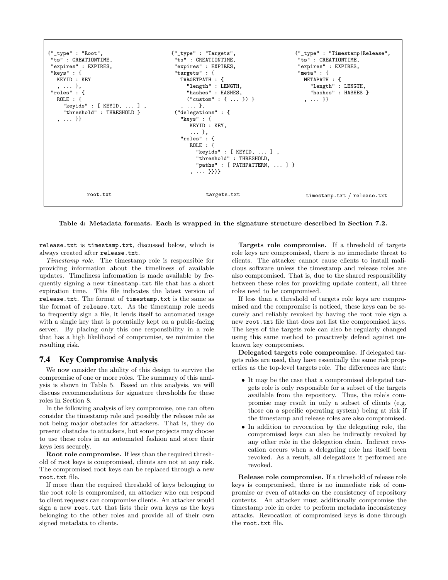

**Table 4: Metadata formats. Each is wrapped in the signature structure described in Section 7.2.**

release.txt is timestamp.txt, discussed below, which is always created after release.txt.

*Timestamp role.* The timestamp role is responsible for providing information about the timeliness of available updates. Timeliness information is made available by frequently signing a new timestamp.txt file that has a short expiration time. This file indicates the latest version of release.txt. The format of timestamp.txt is the same as the format of release.txt. As the timestamp role needs to frequently sign a file, it lends itself to automated usage with a single key that is potentially kept on a public-facing server. By placing only this one responsibility in a role that has a high likelihood of compromise, we minimize the resulting risk.

#### 7.4 Key Compromise Analysis

We now consider the ability of this design to survive the compromise of one or more roles. The summary of this analysis is shown in Table 5. Based on this analysis, we will discuss recommendations for signature thresholds for these roles in Section 8.

In the following analysis of key compromise, one can often consider the timestamp role and possibly the release role as not being major obstacles for attackers. That is, they do present obstacles to attackers, but some projects may choose to use these roles in an automated fashion and store their keys less securely.

**Root role compromise.** If less than the required threshold of root keys is compromised, clients are not at any risk. The compromised root keys can be replaced through a new root.txt file.

If more than the required threshold of keys belonging to the root role is compromised, an attacker who can respond to client requests can compromise clients. An attacker would sign a new root.txt that lists their own keys as the keys belonging to the other roles and provide all of their own signed metadata to clients.

**Targets role compromise.** If a threshold of targets role keys are compromised, there is no immediate threat to clients. The attacker cannot cause clients to install malicious software unless the timestamp and release roles are also compromised. That is, due to the shared responsibility between these roles for providing update content, all three roles need to be compromised.

If less than a threshold of targets role keys are compromised and the compromise is noticed, these keys can be securely and reliably revoked by having the root role sign a new root.txt file that does not list the compromised keys. The keys of the targets role can also be regularly changed using this same method to proactively defend against unknown key compromises.

**Delegated targets role compromise.** If delegated targets roles are used, they have essentially the same risk properties as the top-level targets role. The differences are that:

- It may be the case that a compromised delegated targets role is only responsible for a subset of the targets available from the repository. Thus, the role's compromise may result in only a subset of clients (e.g. those on a specific operating system) being at risk if the timestamp and release roles are also compromised.
- *•* In addition to revocation by the delegating role, the compromised keys can also be indirectly revoked by any other role in the delegation chain. Indirect revocation occurs when a delegating role has itself been revoked. As a result, all delegations it performed are revoked.

**Release role compromise.** If a threshold of release role keys is compromised, there is no immediate risk of compromise or even of attacks on the consistency of repository contents. An attacker must additionally compromise the timestamp role in order to perform metadata inconsistency attacks. Revocation of compromised keys is done through the root.txt file.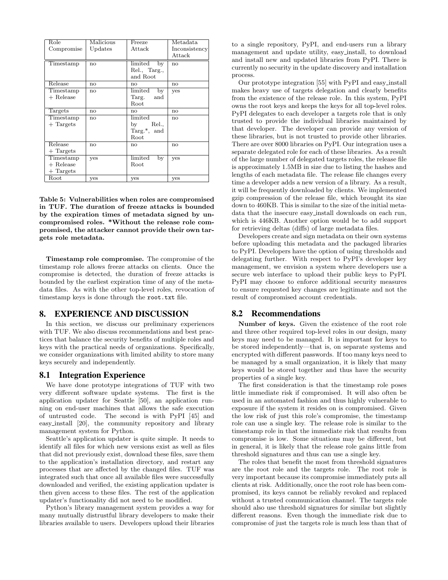| Role<br>Compromise                      | Malicious<br>Updates | Freeze<br>Attack                                           | Metadata.<br>Inconsistency<br>Attack |
|-----------------------------------------|----------------------|------------------------------------------------------------|--------------------------------------|
| Timestamp                               | no                   | $\lim$ ited<br>by<br>Rel., Targ.,<br>and Root              | no                                   |
| Release                                 | no                   | no                                                         | no                                   |
| Timestamp<br>$+$ Release                | no                   | limited<br>by<br>Targ.<br>and<br>Root                      | yes                                  |
| Targets                                 | no                   | no                                                         | no                                   |
| Timestamp<br>$+$ Targets                | no                   | limited<br>Rel.,<br>by<br>Targ. <sup>*</sup> , and<br>Root | no                                   |
| Release<br>$+$ Targets                  | no                   | n <sub>0</sub>                                             | no                                   |
| Timestamp<br>$+$ Release<br>$+$ Targets | yes                  | limited<br>by<br>Root                                      | yes                                  |
| Root                                    | yes                  | yes                                                        | yes                                  |

**Table 5: Vulnerabilities when roles are compromised in TUF. The duration of freeze attacks is bounded by the expiration times of metadata signed by uncompromised roles. \*Without the release role compromised, the attacker cannot provide their own targets role metadata.**

**Timestamp role compromise.** The compromise of the timestamp role allows freeze attacks on clients. Once the compromise is detected, the duration of freeze attacks is bounded by the earliest expiration time of any of the metadata files. As with the other top-level roles, revocation of timestamp keys is done through the root.txt file.

## 8. EXPERIENCE AND DISCUSSION

In this section, we discuss our preliminary experiences with TUF. We also discuss recommendations and best practices that balance the security benefits of multiple roles and keys with the practical needs of organizations. Specifically, we consider organizations with limited ability to store many keys securely and independently.

## 8.1 Integration Experience

We have done prototype integrations of TUF with two very different software update systems. The first is the application updater for Seattle [50], an application running on end-user machines that allows the safe execution of untrusted code. The second is with PyPI [45] and easy install [20], the community repository and library management system for Python.

Seattle's application updater is quite simple. It needs to identify all files for which new versions exist as well as files that did not previously exist, download these files, save them to the application's installation directory, and restart any processes that are affected by the changed files. TUF was integrated such that once all available files were successfully downloaded and verified, the existing application updater is then given access to these files. The rest of the application updater's functionality did not need to be modified.

Python's library management system provides a way for many mutually distrustful library developers to make their libraries available to users. Developers upload their libraries to a single repository, PyPI, and end-users run a library management and update utility, easy install, to download and install new and updated libraries from PyPI. There is currently no security in the update discovery and installation process.

Our prototype integration [55] with PyPI and easy install makes heavy use of targets delegation and clearly benefits from the existence of the release role. In this system, PyPI owns the root keys and keeps the keys for all top-level roles. PyPI delegates to each developer a targets role that is only trusted to provide the individual libraries maintained by that developer. The developer can provide any version of these libraries, but is not trusted to provide other libraries. There are over 8000 libraries on PyPI. Our integration uses a separate delegated role for each of these libraries. As a result of the large number of delegated targets roles, the release file is approximately 1.5MB in size due to listing the hashes and lengths of each metadata file. The release file changes every time a developer adds a new version of a library. As a result, it will be frequently downloaded by clients. We implemented gzip compression of the release file, which brought its size down to 460KB. This is similar to the size of the initial metadata that the insecure easy install downloads on each run, which is 446KB. Another option would be to add support for retrieving deltas (diffs) of large metadata files.

Developers create and sign metadata on their own systems before uploading this metadata and the packaged libraries to PyPI. Developers have the option of using thresholds and delegating further. With respect to PyPI's developer key management, we envision a system where developers use a secure web interface to upload their public keys to PyPI. PyPI may choose to enforce additional security measures to ensure requested key changes are legitimate and not the result of compromised account credentials.

## 8.2 Recommendations

**Number of keys.** Given the existence of the root role and three other required top-level roles in our design, many keys may need to be managed. It is important for keys to be stored independently—that is, on separate systems and encrypted with different passwords. If too many keys need to be managed by a small organization, it is likely that many keys would be stored together and thus have the security properties of a single key.

The first consideration is that the timestamp role poses little immediate risk if compromised. It will also often be used in an automated fashion and thus highly vulnerable to exposure if the system it resides on is compromised. Given the low risk of just this role's compromise, the timestamp role can use a single key. The release role is similar to the timestamp role in that the immediate risk that results from compromise is low. Some situations may be different, but in general, it is likely that the release role gains little from threshold signatures and thus can use a single key.

The roles that benefit the most from threshold signatures are the root role and the targets role. The root role is very important because its compromise immediately puts all clients at risk. Additionally, once the root role has been compromised, its keys cannot be reliably revoked and replaced without a trusted communication channel. The targets role should also use threshold signatures for similar but slightly different reasons. Even though the immediate risk due to compromise of just the targets role is much less than that of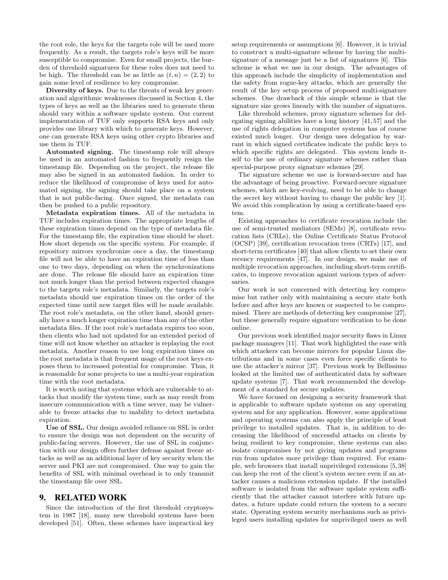the root role, the keys for the targets role will be used more frequently. As a result, the targets role's keys will be more susceptible to compromise. Even for small projects, the burden of threshold signatures for these roles does not need to be high. The threshold can be as little as  $(t, n) = (2, 2)$  to gain some level of resilience to key compromise.

**Diversity of keys.** Due to the threats of weak key generation and algorithmic weaknesses discussed in Section 4, the types of keys as well as the libraries used to generate them should vary within a software update system. Our current implementation of TUF only supports RSA keys and only provides one library with which to generate keys. However, one can generate RSA keys using other crypto libraries and use them in TUF.

**Automated signing.** The timestamp role will always be used in an automated fashion to frequently resign the timestamp file. Depending on the project, the release file may also be signed in an automated fashion. In order to reduce the likelihood of compromise of keys used for automated signing, the signing should take place on a system that is not public-facing. Once signed, the metadata can then be pushed to a public repository.

**Metadata expiration times.** All of the metadata in TUF includes expiration times. The appropriate lengths of these expiration times depend on the type of metadata file. For the timestamp file, the expiration time should be short. How short depends on the specific system. For example, if repository mirrors synchronize once a day, the timestamp file will not be able to have an expiration time of less than one to two days, depending on when the synchronizations are done. The release file should have an expiration time not much longer than the period between expected changes to the targets role's metadata. Similarly, the targets role's metadata should use expiration times on the order of the expected time until new target files will be made available. The root role's metadata, on the other hand, should generally have a much longer expiration time than any of the other metadata files. If the root role's metadata expires too soon, then clients who had not updated for an extended period of time will not know whether an attacker is replaying the root metadata. Another reason to use long expiration times on the root metadata is that frequent usage of the root keys exposes them to increased potential for compromise. Thus, it is reasonable for some projects to use a multi-year expiration time with the root metadata.

It is worth noting that systems which are vulnerable to attacks that modify the system time, such as may result from insecure communication with a time server, may be vulnerable to freeze attacks due to inability to detect metadata expiration.

**Use of SSL.** Our design avoided reliance on SSL in order to ensure the design was not dependent on the security of public-facing servers. However, the use of SSL in conjunction with our design offers further defense against freeze attacks as well as an additional layer of key security when the server and PKI are not compromised. One way to gain the benefits of SSL with minimal overhead is to only transmit the timestamp file over SSL.

#### 9. RELATED WORK

Since the introduction of the first threshold cryptosystem in 1987 [18], many new threshold systems have been developed [51]. Often, these schemes have impractical key setup requirements or assumptions [6]. However, it is trivial to construct a multi-signature scheme by having the multisignature of a message just be a list of signatures [6]. This scheme is what we use in our design. The advantages of this approach include the simplicity of implementation and the safety from rogue-key attacks, which are generally the result of the key setup process of proposed multi-signature schemes. One drawback of this simple scheme is that the signature size grows linearly with the number of signatures.

Like threshold schemes, proxy signature schemes for delegating signing abilities have a long history [41, 57] and the use of rights delegation in computer systems has of course existed much longer. Our design uses delegation by warrant in which signed certificates indicate the public keys to which specific rights are delegated. This system lends itself to the use of ordinary signature schemes rather than special-purpose proxy signature schemes [29].

The signature scheme we use is forward-secure and has the advantage of being proactive. Forward-secure signature schemes, which are key-evolving, need to be able to change the secret key without having to change the public key [1]. We avoid this complication by using a certificate-based system.

Existing approaches to certificate revocation include the use of semi-trusted mediators (SEMs) [8], certificate revocation lists (CRLs), the Online Certificate Status Protocol (OCSP) [39], certification revocation trees (CRTs) [17], and short-term certificates [40] that allow clients to set their own recency requirements [47]. In our design, we make use of multiple revocation approaches, including short-term certificates, to improve revocation against various types of adversaries.

Our work is not concerned with detecting key compromise but rather only with maintaining a secure state both before and after keys are known or suspected to be compromised. There are methods of detecting key compromise [27], but these generally require signature verification to be done online.

Our previous work identified major security flaws in Linux package managers [11]. That work highlighted the ease with which attackers can become mirrors for popular Linux distributions and in some cases even force specific clients to use the attacker's mirror [37]. Previous work by Bellissimo looked at the limited use of authenticated data by software update systems [7]. That work recommended the development of a standard for secure updates.

We have focused on designing a security framework that is applicable to software update systems on any operating system and for any application. However, some applications and operating systems can also apply the principle of least privilege to installed updates. That is, in addition to decreasing the likelihood of successful attacks on clients by being resilient to key compromise, these systems can also isolate compromises by not giving updates and programs run from updates more privilege than required. For example, web browsers that install unprivileged extensions [5, 38] can keep the rest of the client's system secure even if an attacker causes a malicious extension update. If the installed software is isolated from the software update system sufficiently that the attacker cannot interfere with future updates, a future update could return the system to a secure state. Operating system security mechanisms such as privileged users installing updates for unprivileged users as well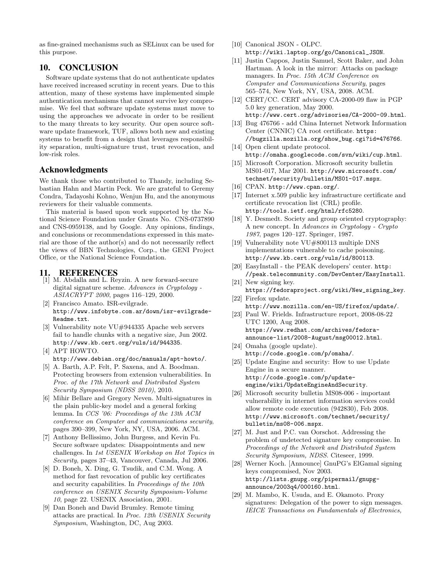as fine-grained mechanisms such as SELinux can be used for this purpose.

## 10. CONCLUSION

Software update systems that do not authenticate updates have received increased scrutiny in recent years. Due to this attention, many of these systems have implemented simple authentication mechanisms that cannot survive key compromise. We feel that software update systems must move to using the approaches we advocate in order to be resilient to the many threats to key security. Our open source software update framework, TUF, allows both new and existing systems to benefit from a design that leverages responsibility separation, multi-signature trust, trust revocation, and low-risk roles.

## Acknowledgments

We thank those who contributed to Thandy, including Sebastian Hahn and Martin Peck. We are grateful to Geremy Condra, Tadayoshi Kohno, Wenjun Hu, and the anonymous reviewers for their valuable comments.

This material is based upon work supported by the National Science Foundation under Grants No. CNS-0737890 and CNS-0959138, and by Google. Any opinions, findings, and conclusions or recommendations expressed in this material are those of the author(s) and do not necessarily reflect the views of BBN Technologies, Corp., the GENI Project Office, or the National Science Foundation.

#### 11. REFERENCES

- [1] M. Abdalla and L. Reyzin. A new forward-secure digital signature scheme. *Advances in Cryptology - ASIACRYPT 2000*, pages 116–129, 2000.
- [2] Francisco Amato. ISR-evilgrade. http://www.infobyte.com.ar/down/isr-evilgrade-Readme.txt.
- [3] Vulnerability note VU#944335 Apache web servers fail to handle chunks with a negative size, Jun 2002. http://www.kb.cert.org/vuls/id/944335.
- [4] APT HOWTO. http://www.debian.org/doc/manuals/apt-howto/.
- [5] A. Barth, A.P. Felt, P. Saxena, and A. Boodman. Protecting browsers from extension vulnerabilities. In *Proc. of the 17th Network and Distributed System Security Symposium (NDSS 2010)*, 2010.
- [6] Mihir Bellare and Gregory Neven. Multi-signatures in the plain public-key model and a general forking lemma. In *CCS '06: Proceedings of the 13th ACM conference on Computer and communications security*, pages 390–399, New York, NY, USA, 2006. ACM.
- [7] Anthony Bellissimo, John Burgess, and Kevin Fu. Secure software updates: Disappointments and new challenges. In *1st USENIX Workshop on Hot Topics in Security*, pages 37–43, Vancouver, Canada, Jul 2006.
- [8] D. Boneh, X. Ding, G. Tsudik, and C.M. Wong. A method for fast revocation of public key certificates and security capabilities. In *Proceedings of the 10th conference on USENIX Security Symposium-Volume 10*, page 22. USENIX Association, 2001.
- [9] Dan Boneh and David Brumley. Remote timing attacks are practical. In *Proc. 12th USENIX Security Symposium*, Washington, DC, Aug 2003.
- [10] Canonical JSON OLPC.
	- http://wiki.laptop.org/go/Canonical\_JSON.
- [11] Justin Cappos, Justin Samuel, Scott Baker, and John Hartman. A look in the mirror: Attacks on package managers. In *Proc. 15th ACM Conference on Computer and Communications Security*, pages 565–574, New York, NY, USA, 2008. ACM.
- [12] CERT/CC. CERT advisory CA-2000-09 flaw in PGP 5.0 key generation, May 2000. http://www.cert.org/advisories/CA-2000-09.html.
- [13] Bug 476766 add China Internet Network Information Center (CNNIC) CA root certificate. https: //bugzilla.mozilla.org/show\_bug.cgi?id=476766.
- [14] Open client update protocol. http://omaha.googlecode.com/svn/wiki/cup.html.
- [15] Microsoft Corporation. Microsoft security bulletin MS01-017, Mar 2001. http://www.microsoft.com/ technet/security/bulletin/MS01-017.mspx.
- [16] CPAN. http://www.cpan.org/.
- [17] Internet x.509 public key infrastructure certificate and certificate revocation list (CRL) profile. http://tools.ietf.org/html/rfc5280.
- [18] Y. Desmedt. Society and group oriented cryptography: A new concept. In *Advances in Cryptology - Crypto 1987*, pages 120–127. Springer, 1987.
- [19] Vulnerability note VU#800113 multiple DNS implementations vulnerable to cache poisoning. http://www.kb.cert.org/vuls/id/800113.
- [20] EasyInstall the PEAK developers' center. http: //peak.telecommunity.com/DevCenter/EasyInstall.
- [21] New signing key. https://fedoraproject.org/wiki/New\_signing\_key. [22] Firefox update.
- http://www.mozilla.com/en-US/firefox/update/.
- [23] Paul W. Frields. Infrastructure report, 2008-08-22 UTC 1200, Aug 2008. https://www.redhat.com/archives/fedoraannounce-list/2008-August/msg00012.html.
- [24] Omaha (google update). http://code.google.com/p/omaha/.
- [25] Update Engine and security: How to use Update Engine in a secure manner. http://code.google.com/p/updateengine/wiki/UpdateEngineAndSecurity.
- [26] Microsoft security bulletin MS08-006 important vulnerability in internet information services could allow remote code execution (942830), Feb 2008. http://www.microsoft.com/technet/security/ bulletin/ms08-006.mspx.
- [27] M. Just and P.C. van Oorschot. Addressing the problem of undetected signature key compromise. In *Proceedings of the Network and Distributed System Security Symposium, NDSS*. Citeseer, 1999.
- [28] Werner Koch. [Announce] GnuPG's ElGamal signing keys compromised, Nov 2003. http://lists.gnupg.org/pipermail/gnupgannounce/2003q4/000160.html.
- [29] M. Mambo, K. Usuda, and E. Okamoto. Proxy signatures: Delegation of the power to sign messages. *IEICE Transactions on Fundamentals of Electronics,*